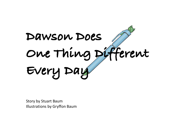

Story by Stuart Baum Illustrations by Gryffon Baum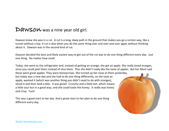#### D**awsow** was a nine year old girl.

Dawson knew she was in a rut. A rut is a long, deep path in the ground that makes you go a certain way, like a tunnel without a top. A rut is also when you do the same thing over and over and over again without thinking about it. Dawson was in the second kind of rut.

Dawson decided the best and likely easiest way to get out of the rut was to do one thing different every day. Just one thing. No matter how small.

Today, she went to the refrigerator and, instead of getting an orange, she got an apple. She really loved oranges, since you could peel them instead of slice them. Plus she didn't really like the taste of apples. But her Mom said

these were great apples. They were Honeycrisps. She turned up her nose at them yesterday, but today was a new day and she had to do one thing differently, so she took an apple, washed it (which was another thing you didn't need to do with oranges), sliced it and then took a bite. It was great! Crunchy and a little tart, which means a little sour but in a good way, and she could taste the honey. It really was honey *and* crisp. Yum!

This was a good start to her day. And a great start to her plan to do one thing different every day.

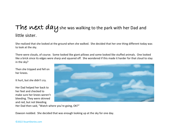### The wext  $day$  she was walking to the park with her Dad and little sister.

She realized that she looked at the ground when she walked. She decided that her one thing different today was to look at the sky.

There were clouds, of course. Some looked like giant pillows and some looked like stuffed animals. One looked like a brick since its edges were sharp and squared off. She wondered if this made it harder for that cloud to stay in the sky?

Then she tripped and fell on her knees.

It hurt, but she didn't cry.

Her Dad helped her back to her feet and checked to make sure her knees weren't bleeding. They were skinned and red, but not bleeding.



Her Dad then said, "Watch where you're going, OK?"

Dawson nodded. She decided that was enough looking up at the sky for one day.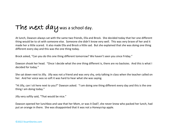# The next day was a school day.

At lunch, Dawson always sat with the same two friends, Ella and Brock. She decided today that her one different thing would be to sit with someone else. Someone she didn't know very well. This was very brave of her and it made her a little scared. It also made Ella and Brock a little sad. But she explained that she was doing one thing different every day and this was the one thing today.

Brock asked, "Can you do this one thing different tomorrow? We haven't seen you since Friday."

Dawson shook her head. "Once I decide what the one thing different is, there are no backsies. And this is what I decided for today."

She sat down next to Jilly. Jilly was not a friend and was very shy, only talking in class when the teacher called on her. And her voice was so soft it was hard to hear what she was saying.

"Hi Jilly, can I sit here next to you?" Dawson asked. "I am doing one thing different every day and this is the one thing I am doing today."

Jilly very softly said, "That would be nice."

Dawson opened her lunchbox and saw that her Mom, or was it Dad?, she never knew who packed her lunch, had put an orange in there. She was disappointed that it was not a Honeycrisp apple.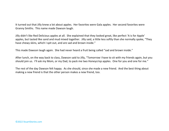It turned out that Jilly knew a lot about apples. Her favorites were Gala apples. Her second favorites were Granny Smiths. This name made Dawson laugh.

Jilly didn't like Red Delicious apples at all. She explained that they looked great, like perfect 'A is for Apple' apples, but tasted like sand and mud mixed together. Jilly said, a little less softly than she normally spoke, "They have chewy skins, which I spit out, and are sad and brown inside."

This made Dawson laugh again. She had never heard a fruit being called "sad and brown inside."

After lunch, on the way back to class, Dawson said to Jilly, "Tomorrow I have to sit with my friends again, but you should join us. I'll ask my Mom, or my Dad, to pack me two Honeycrisp apples. One for you and one for me."

The rest of the day Dawson felt happy. As she should, since she made a new friend. And the best thing about making a new friend is that the other person makes a new friend, too.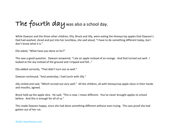**The fourth day** was also a school day.

While Dawson and the three other children, Ella, Brock and Jilly, were eating the Honeycrisp apples that Dawson's Dad had washed, sliced and put into her lunchbox, she said aloud, "I have to do something different today, but I don't know what it is."

Ella asked, "What have you done so far?"

This was a good question. Dawson answered, "I ate an apple instead of an orange. And that turned out well. I looked at the sky instead of the ground and I tripped and fell…"

Ella added correctly, "That didn't turn out so well."

Dawson continued, "And yesterday, I had lunch with Jilly."

Jilly smiled and said, "Which turned out very well." All the children, all with Honeycrisp apple slices in their hands and mouths, agreed.

Brock held up the apple slice. He said, "This is new, I mean different. You've never brought apples to school before. And this is enough for all of us."

This made Dawson happy, since she had done something different without even trying. This was proof she had gotten out of her rut.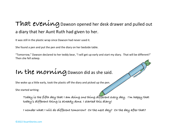### That evening Dawson opened her desk drawer and pulled out a diary that her Aunt Ruth had given to her.

It was still in the plastic wrap since Dawson had never used it.

She found a pen and put the pen and the diary on her bedside table.

"Tomorrow," Dawson declared to her teddy bear, "I will get up early and start my diary. That will be different!" Then she fell asleep.

## In the morning Dawson did as she said.

She woke up a little early, took the plastic off the diary and picked up the pen.

She started writing:

**Today is the fifth day that I am doing one thing different every day. I'm happy that today's different thing is already done. I started this diary!** 

**I wonder what I will do different tomorrow? Or the next day? Or the day after that?**